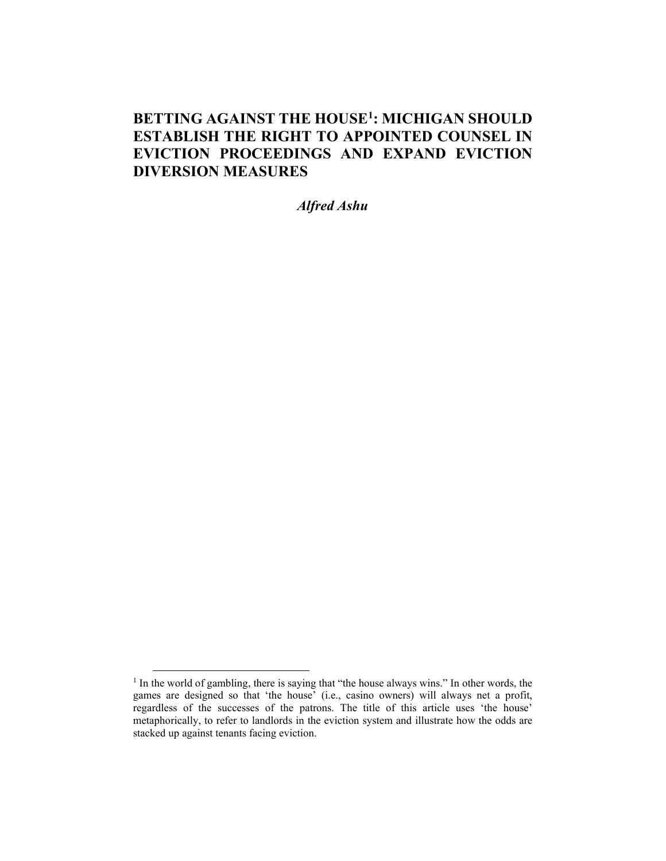# **BETTING AGAINST THE HOUSE[1](#page-0-0) : MICHIGAN SHOULD ESTABLISH THE RIGHT TO APPOINTED COUNSEL IN EVICTION PROCEEDINGS AND EXPAND EVICTION DIVERSION MEASURES**

*Alfred Ashu*

<span id="page-0-0"></span> $<sup>1</sup>$  In the world of gambling, there is saying that "the house always wins." In other words, the</sup> games are designed so that 'the house' (i.e., casino owners) will always net a profit, regardless of the successes of the patrons. The title of this article uses 'the house' metaphorically, to refer to landlords in the eviction system and illustrate how the odds are stacked up against tenants facing eviction.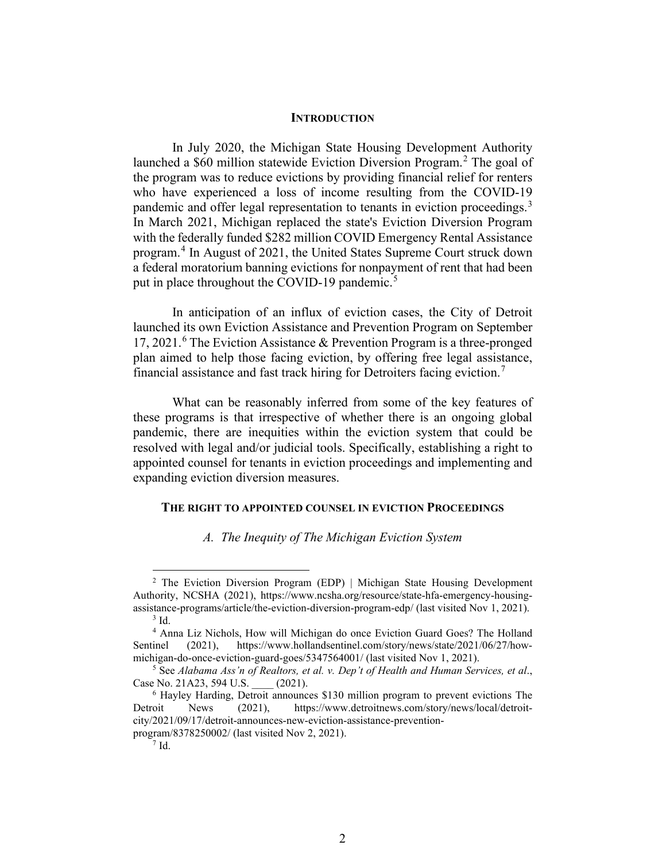#### **INTRODUCTION**

In July 2020, the Michigan State Housing Development Authority launched a \$60 million statewide Eviction Diversion Program. [2](#page-1-0) The goal of the program was to reduce evictions by providing financial relief for renters who have experienced a loss of income resulting from the COVID-19 pandemic and offer legal representation to tenants in eviction proceedings.<sup>[3](#page-1-1)</sup> In March 2021, Michigan replaced the state's Eviction Diversion Program with the federally funded \$282 million COVID Emergency Rental Assistance program. [4](#page-1-2) In August of 2021, the United States Supreme Court struck down a federal moratorium banning evictions for nonpayment of rent that had been put in place throughout the COVID-19 pandemic.<sup>[5](#page-1-3)</sup>

In anticipation of an influx of eviction cases, the City of Detroit launched its own Eviction Assistance and Prevention Program on September 17, 2021.<sup>[6](#page-1-4)</sup> The Eviction Assistance & Prevention Program is a three-pronged plan aimed to help those facing eviction, by offering free legal assistance, financial assistance and fast track hiring for Detroiters facing eviction.[7](#page-1-5)

What can be reasonably inferred from some of the key features of these programs is that irrespective of whether there is an ongoing global pandemic, there are inequities within the eviction system that could be resolved with legal and/or judicial tools. Specifically, establishing a right to appointed counsel for tenants in eviction proceedings and implementing and expanding eviction diversion measures.

#### **THE RIGHT TO APPOINTED COUNSEL IN EVICTION PROCEEDINGS**

### *A. The Inequity of The Michigan Eviction System*

<span id="page-1-0"></span><sup>&</sup>lt;sup>2</sup> The Eviction Diversion Program (EDP) | Michigan State Housing Development Authority, NCSHA (2021), https://www.ncsha.org/resource/state-hfa-emergency-housingassistance-programs/article/the-eviction-diversion-program-edp/ (last visited Nov 1, 2021).  $3$  Id.

<span id="page-1-2"></span><span id="page-1-1"></span><sup>4</sup> Anna Liz Nichols, How will Michigan do once Eviction Guard Goes? The Holland Sentinel (2021), https://www.hollandsentinel.com/story/news/state/2021/06/27/how-<br>michigan-do-once-eviction-guard-goes/5347564001/ (last visited Nov 1, 2021).

<span id="page-1-3"></span><sup>&</sup>lt;sup>5</sup> See Alabama Ass'n of Realtors, et al. v. Dep't of Health and Human Services, et al., Case No. 21A23, 594 U.S. \_\_\_\_ (2021).

<span id="page-1-5"></span><span id="page-1-4"></span><sup>&</sup>lt;sup>6</sup> Hayley Harding, Detroit announces \$130 million program to prevent evictions The Detroit News (2021), https://www.detroitnews.com/story/news/local/detroitcity/2021/09/17/detroit-announces-new-eviction-assistance-preventionprogram/8378250002/ (last visited Nov 2, 2021).

 $7$  Id.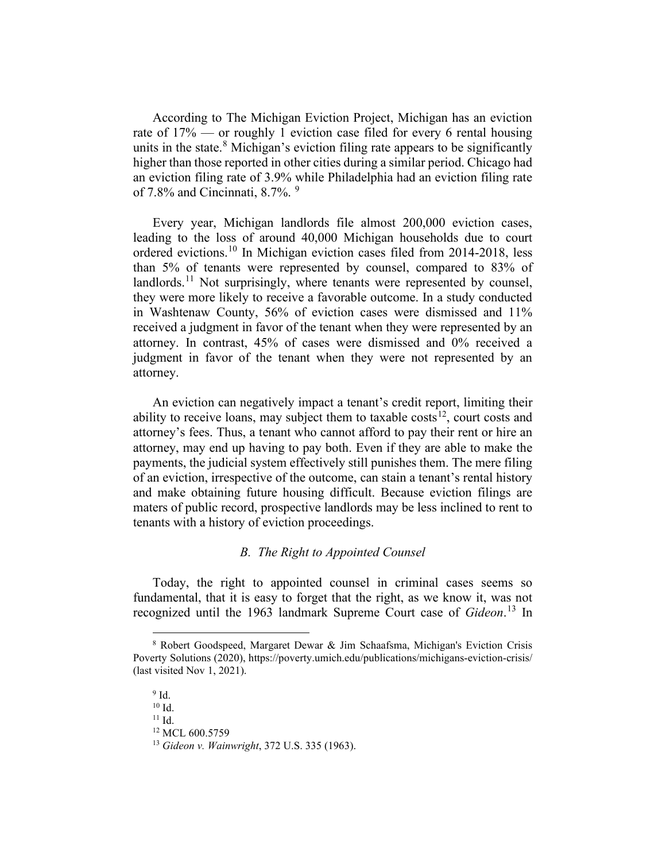According to The Michigan Eviction Project, Michigan has an eviction rate of 17% — or roughly 1 eviction case filed for every 6 rental housing units in the state.<sup>[8](#page-2-0)</sup> Michigan's eviction filing rate appears to be significantly higher than those reported in other cities during a similar period. Chicago had an eviction filing rate of 3.9% while Philadelphia had an eviction filing rate of 7.8% and Cincinnati, 8.7%.  $9^{\circ}$  $9^{\circ}$ 

Every year, Michigan landlords file almost 200,000 eviction cases, leading to the loss of around 40,000 Michigan households due to court ordered evictions.[10](#page-2-2) In Michigan eviction cases filed from 2014-2018, less than 5% of tenants were represented by counsel, compared to 83% of landlords.<sup>[11](#page-2-3)</sup> Not surprisingly, where tenants were represented by counsel, they were more likely to receive a favorable outcome. In a study conducted in Washtenaw County, 56% of eviction cases were dismissed and 11% received a judgment in favor of the tenant when they were represented by an attorney. In contrast, 45% of cases were dismissed and 0% received a judgment in favor of the tenant when they were not represented by an attorney.

An eviction can negatively impact a tenant's credit report, limiting their ability to receive loans, may subject them to taxable costs<sup>12</sup>, court costs and attorney's fees. Thus, a tenant who cannot afford to pay their rent or hire an attorney, may end up having to pay both. Even if they are able to make the payments, the judicial system effectively still punishes them. The mere filing of an eviction, irrespective of the outcome, can stain a tenant's rental history and make obtaining future housing difficult. Because eviction filings are maters of public record, prospective landlords may be less inclined to rent to tenants with a history of eviction proceedings.

## *B. The Right to Appointed Counsel*

Today, the right to appointed counsel in criminal cases seems so fundamental, that it is easy to forget that the right, as we know it, was not recognized until the 1963 landmark Supreme Court case of *Gideon*. [13](#page-2-5) In

<span id="page-2-2"></span><span id="page-2-1"></span><span id="page-2-0"></span><sup>8</sup> Robert Goodspeed, Margaret Dewar & Jim Schaafsma, Michigan's Eviction Crisis Poverty Solutions (2020), https://poverty.umich.edu/publications/michigans-eviction-crisis/ (last visited Nov 1, 2021).

 $\frac{9}{10}$  Id.

<span id="page-2-4"></span><span id="page-2-3"></span> $11$  Id.

<sup>&</sup>lt;sup>12</sup> MCL 600 5759

<span id="page-2-5"></span><sup>13</sup> *Gideon v. Wainwright*, 372 U.S. 335 (1963).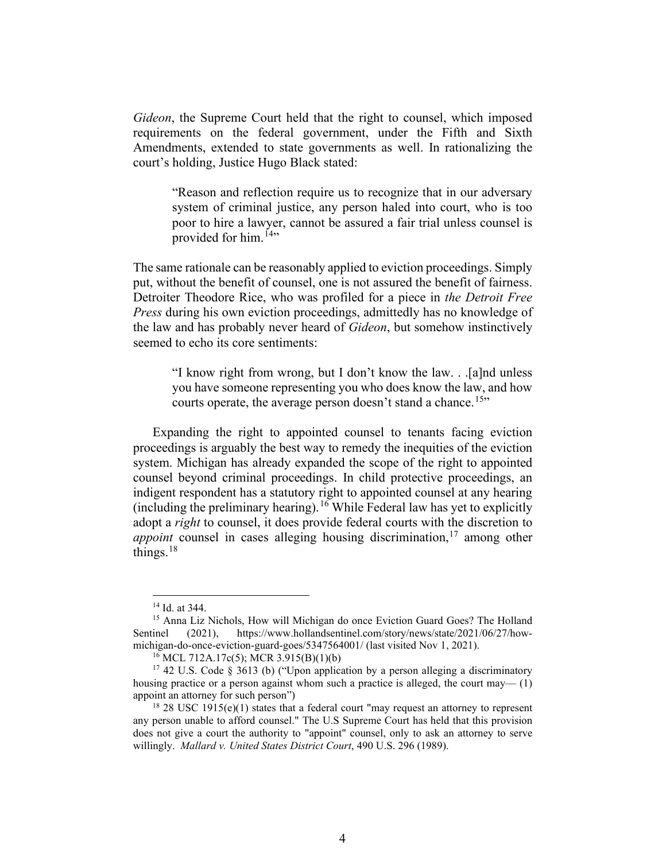*Gideon*, the Supreme Court held that the right to counsel, which imposed requirements on the federal government, under the Fifth and Sixth Amendments, extended to state governments as well. In rationalizing the court's holding, Justice Hugo Black stated:

"Reason and reflection require us to recognize that in our adversary system of criminal justice, any person haled into court, who is too poor to hire a lawyer, cannot be assured a fair trial unless counsel is provided for him.<sup>[14](#page-3-0)</sup>"

The same rationale can be reasonably applied to eviction proceedings. Simply put, without the benefit of counsel, one is not assured the benefit of fairness. Detroiter Theodore Rice, who was profiled for a piece in *the Detroit Free Press* during his own eviction proceedings, admittedly has no knowledge of the law and has probably never heard of *Gideon*, but somehow instinctively seemed to echo its core sentiments:

"I know right from wrong, but I don't know the law. . .[a]nd unless you have someone representing you who does know the law, and how courts operate, the average person doesn't stand a chance.<sup>[15"](#page-3-1)</sup>

Expanding the right to appointed counsel to tenants facing eviction proceedings is arguably the best way to remedy the inequities of the eviction system. Michigan has already expanded the scope of the right to appointed counsel beyond criminal proceedings. In child protective proceedings, an indigent respondent has a statutory right to appointed counsel at any hearing (including the preliminary hearing).<sup>[16](#page-3-2)</sup> While Federal law has yet to explicitly adopt a *right* to counsel, it does provide federal courts with the discretion to *appoint* counsel in cases alleging housing discrimination, [17](#page-3-3) among other things. $18$ 

<sup>14</sup> Id. at 344.

<span id="page-3-1"></span><span id="page-3-0"></span><sup>15</sup> Anna Liz Nichols, How will Michigan do once Eviction Guard Goes? The Holland Sentinel (2021), https://www.hollandsentinel.com/story/news/state/2021/06/27/howmichigan-do-once-eviction-guard-goes/5347564001/ (last visited Nov 1, 2021).<br><sup>16</sup> MCL 712A.17c(5); MCR 3.915(B)(1)(b)

<span id="page-3-3"></span><span id="page-3-2"></span> $17$  42 U.S. Code § 3613 (b) ("Upon application by a person alleging a discriminatory housing practice or a person against whom such a practice is alleged, the court may— $(1)$ appoint an attorney for such person")

<span id="page-3-4"></span><sup>&</sup>lt;sup>18</sup> 28 USC 1915(e)(1) states that a federal court "may request an attorney to represent any person unable to afford counsel." The U.S Supreme Court has held that this provision does not give a court the authority to "appoint" counsel, only to ask an attorney to serve willingly. *Mallard v. United States District Court*, 490 U.S. 296 (1989).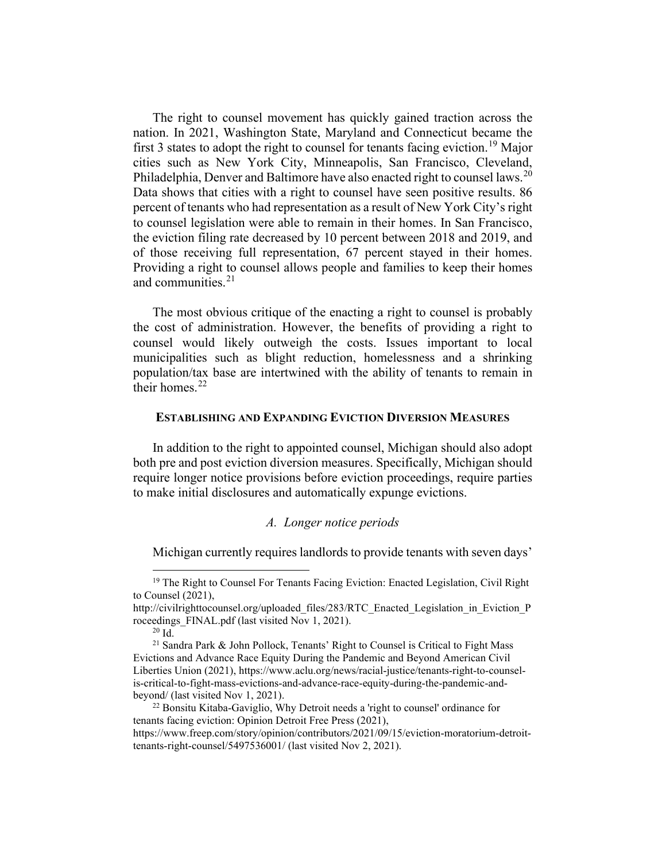The right to counsel movement has quickly gained traction across the nation. In 2021, Washington State, Maryland and Connecticut became the first 3 states to adopt the right to counsel for tenants facing eviction.<sup>[19](#page-4-0)</sup> Major cities such as New York City, Minneapolis, San Francisco, Cleveland, Philadelphia, Denver and Baltimore have also enacted right to counsel laws.<sup>[20](#page-4-1)</sup> Data shows that cities with a right to counsel have seen positive results. 86 percent of tenants who had representation as a result of New York City's right to counsel legislation were able to remain in their homes. In San Francisco, the eviction filing rate decreased by 10 percent between 2018 and 2019, and of those receiving full representation, 67 percent stayed in their homes. Providing a right to counsel allows people and families to keep their homes and communities. [21](#page-4-2)

The most obvious critique of the enacting a right to counsel is probably the cost of administration. However, the benefits of providing a right to counsel would likely outweigh the costs. Issues important to local municipalities such as blight reduction, homelessness and a shrinking population/tax base are intertwined with the ability of tenants to remain in their homes.<sup>[22](#page-4-3)</sup>

#### **ESTABLISHING AND EXPANDING EVICTION DIVERSION MEASURES**

In addition to the right to appointed counsel, Michigan should also adopt both pre and post eviction diversion measures. Specifically, Michigan should require longer notice provisions before eviction proceedings, require parties to make initial disclosures and automatically expunge evictions.

## *A. Longer notice periods*

Michigan currently requires landlords to provide tenants with seven days'

<span id="page-4-0"></span><sup>&</sup>lt;sup>19</sup> The Right to Counsel For Tenants Facing Eviction: Enacted Legislation, Civil Right to Counsel (2021),

http://civilrighttocounsel.org/uploaded\_files/283/RTC\_Enacted\_Legislation\_in\_Eviction\_P roceedings\_FINAL.pdf (last visited Nov 1, 2021).<br><sup>20</sup> Id. <sup>21</sup> Sandra Park & John Pollock, Tenants' Right to Counsel is Critical to Fight Mass

<span id="page-4-2"></span><span id="page-4-1"></span>Evictions and Advance Race Equity During the Pandemic and Beyond American Civil Liberties Union (2021), https://www.aclu.org/news/racial-justice/tenants-right-to-counselis-critical-to-fight-mass-evictions-and-advance-race-equity-during-the-pandemic-and-<br>beyond/ (last visited Nov 1, 2021).

<span id="page-4-3"></span> $^{22}$  Bonsitu Kitaba-Gaviglio, Why Detroit needs a 'right to counsel' ordinance for tenants facing eviction: Opinion Detroit Free Press (2021),

https://www.freep.com/story/opinion/contributors/2021/09/15/eviction-moratorium-detroittenants-right-counsel/5497536001/ (last visited Nov 2, 2021).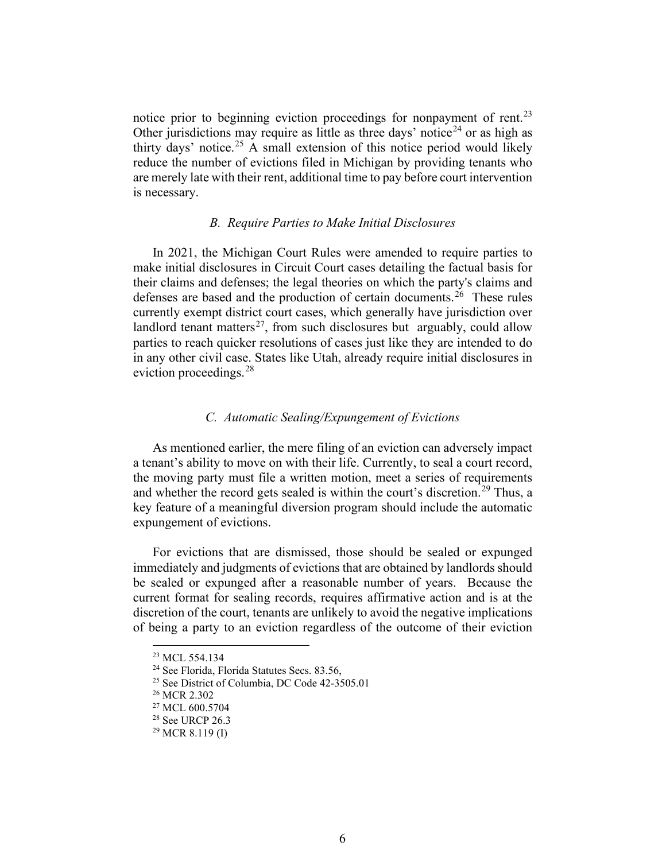notice prior to beginning eviction proceedings for nonpayment of rent.<sup>[23](#page-5-0)</sup> Other jurisdictions may require as little as three days' notice<sup>[24](#page-5-1)</sup> or as high as thirty days' notice. [25](#page-5-2) A small extension of this notice period would likely reduce the number of evictions filed in Michigan by providing tenants who are merely late with their rent, additional time to pay before court intervention is necessary.

### *B. Require Parties to Make Initial Disclosures*

In 2021, the Michigan Court Rules were amended to require parties to make initial disclosures in Circuit Court cases detailing the factual basis for their claims and defenses; the legal theories on which the party's claims and defenses are based and the production of certain documents.<sup>[26](#page-5-3)</sup> These rules currently exempt district court cases, which generally have jurisdiction over landlord tenant matters<sup>[27](#page-5-4)</sup>, from such disclosures but arguably, could allow parties to reach quicker resolutions of cases just like they are intended to do in any other civil case. States like Utah, already require initial disclosures in eviction proceedings.<sup>[28](#page-5-5)</sup>

## *C. Automatic Sealing/Expungement of Evictions*

As mentioned earlier, the mere filing of an eviction can adversely impact a tenant's ability to move on with their life. Currently, to seal a court record, the moving party must file a written motion, meet a series of requirements and whether the record gets sealed is within the court's discretion.<sup>[29](#page-5-6)</sup> Thus, a key feature of a meaningful diversion program should include the automatic expungement of evictions.

For evictions that are dismissed, those should be sealed or expunged immediately and judgments of evictions that are obtained by landlords should be sealed or expunged after a reasonable number of years. Because the current format for sealing records, requires affirmative action and is at the discretion of the court, tenants are unlikely to avoid the negative implications of being a party to an eviction regardless of the outcome of their eviction

<span id="page-5-0"></span><sup>23</sup> MCL 554.134

<span id="page-5-1"></span><sup>&</sup>lt;sup>24</sup> See Florida, Florida Statutes Secs. 83.56,

<span id="page-5-2"></span><sup>25</sup> See District of Columbia, DC Code 42-3505.01

<span id="page-5-3"></span><sup>26</sup> MCR 2.302

<span id="page-5-4"></span><sup>&</sup>lt;sup>27</sup> MCL 600.5704

<span id="page-5-5"></span><sup>28</sup> See URCP 26.3

<span id="page-5-6"></span> $^{29}$  MCR 8.119 (I)